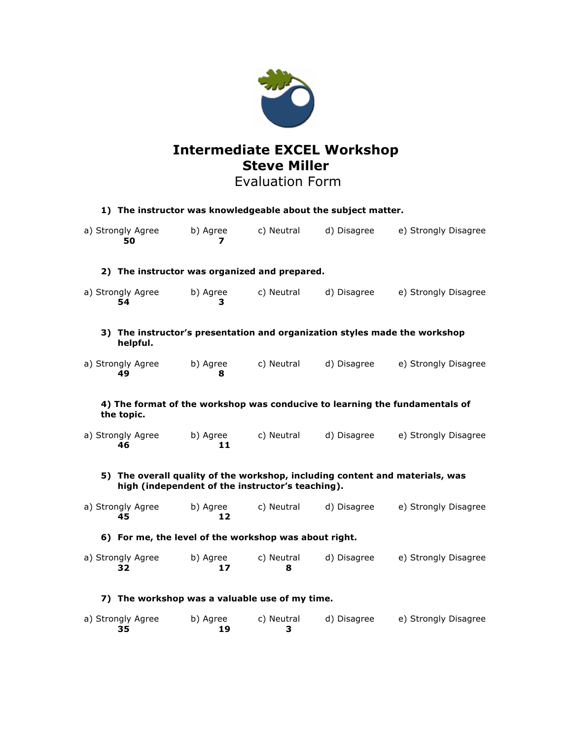

# **Intermediate EXCEL Workshop Steve Miller**

## Evaluation Form

| 1) The instructor was knowledgeable about the subject matter.                                                                    |                |                 |             |                                                                            |
|----------------------------------------------------------------------------------------------------------------------------------|----------------|-----------------|-------------|----------------------------------------------------------------------------|
| a) Strongly Agree<br>50                                                                                                          | b) Agree<br>7  | c) Neutral      | d) Disagree | e) Strongly Disagree                                                       |
| 2) The instructor was organized and prepared.                                                                                    |                |                 |             |                                                                            |
| a) Strongly Agree<br>54                                                                                                          | b) Agree<br>3  | c) Neutral      | d) Disagree | e) Strongly Disagree                                                       |
| helpful.                                                                                                                         |                |                 |             | 3) The instructor's presentation and organization styles made the workshop |
| a) Strongly Agree<br>49                                                                                                          | b) Agree<br>8  | c) Neutral      | d) Disagree | e) Strongly Disagree                                                       |
| 4) The format of the workshop was conducive to learning the fundamentals of<br>the topic.                                        |                |                 |             |                                                                            |
| a) Strongly Agree<br>46                                                                                                          | b) Agree<br>11 | c) Neutral      | d) Disagree | e) Strongly Disagree                                                       |
| 5) The overall quality of the workshop, including content and materials, was<br>high (independent of the instructor's teaching). |                |                 |             |                                                                            |
| a) Strongly Agree<br>45                                                                                                          | b) Agree<br>12 | c) Neutral      | d) Disagree | e) Strongly Disagree                                                       |
| 6) For me, the level of the workshop was about right.                                                                            |                |                 |             |                                                                            |
| a) Strongly Agree<br>32                                                                                                          | b) Agree<br>17 | c) Neutral<br>8 | d) Disagree | e) Strongly Disagree                                                       |
| 7) The workshop was a valuable use of my time.                                                                                   |                |                 |             |                                                                            |
| a) Strongly Agree<br>35                                                                                                          | b) Agree<br>19 | c) Neutral<br>з | d) Disagree | e) Strongly Disagree                                                       |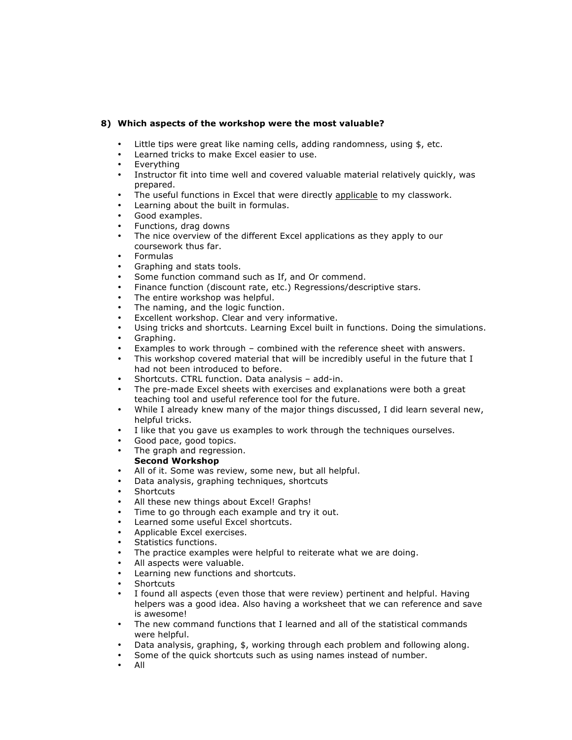#### **8) Which aspects of the workshop were the most valuable?**

- Little tips were great like naming cells, adding randomness, using \$, etc.
- Learned tricks to make Excel easier to use.<br>• Everything
- Everything<br>• Instructor f
- Instructor fit into time well and covered valuable material relatively quickly, was prepared.
- The useful functions in Excel that were directly applicable to my classwork.
- Learning about the built in formulas.
- Good examples.
- Functions, drag downs
- The nice overview of the different Excel applications as they apply to our coursework thus far.
- Formulas
- Graphing and stats tools.
- Some function command such as If, and Or commend.
- Finance function (discount rate, etc.) Regressions/descriptive stars.
- The entire workshop was helpful.
- The naming, and the logic function.
- Excellent workshop. Clear and very informative.
- Using tricks and shortcuts. Learning Excel built in functions. Doing the simulations.
- Graphing.
- Examples to work through combined with the reference sheet with answers.
- This workshop covered material that will be incredibly useful in the future that I had not been introduced to before.
- Shortcuts. CTRL function. Data analysis add-in.
- The pre-made Excel sheets with exercises and explanations were both a great teaching tool and useful reference tool for the future.
- While I already knew many of the major things discussed, I did learn several new, helpful tricks.
- I like that you gave us examples to work through the techniques ourselves.
- Good pace, good topics.
- The graph and regression.

#### **Second Workshop**

- All of it. Some was review, some new, but all helpful.
- Data analysis, graphing techniques, shortcuts
- **Shortcuts**
- All these new things about Excel! Graphs!
- Time to go through each example and try it out.
- Learned some useful Excel shortcuts.
- Applicable Excel exercises.
- Statistics functions.
- The practice examples were helpful to reiterate what we are doing.
- All aspects were valuable.
- Learning new functions and shortcuts.
- **Shortcuts**
- I found all aspects (even those that were review) pertinent and helpful. Having helpers was a good idea. Also having a worksheet that we can reference and save is awesome!
- The new command functions that I learned and all of the statistical commands were helpful.
- Data analysis, graphing, \$, working through each problem and following along.
- Some of the quick shortcuts such as using names instead of number.
- All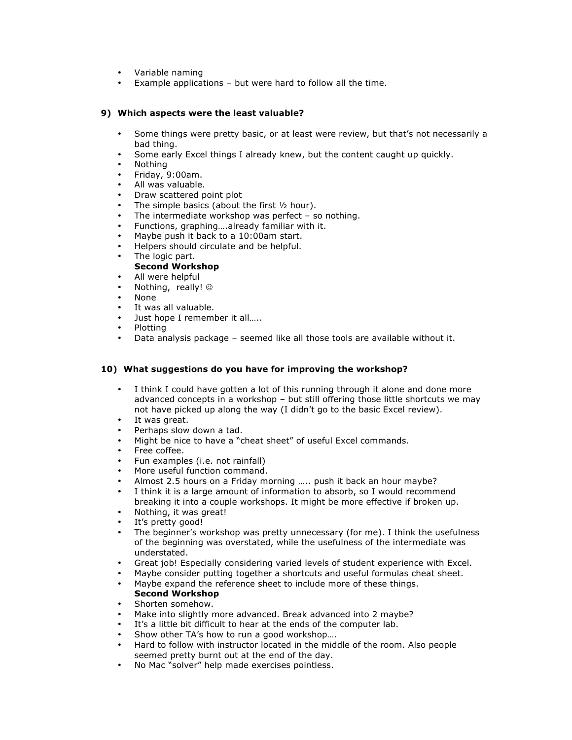- Variable naming<br>• Example applicat
- Example applications but were hard to follow all the time.

#### **9) Which aspects were the least valuable?**

- Some things were pretty basic, or at least were review, but that's not necessarily a bad thing.
- Some early Excel things I already knew, but the content caught up quickly.
- Nothing
- Friday, 9:00am.
- All was valuable.
- Draw scattered point plot
- The simple basics (about the first  $\frac{1}{2}$  hour).
- The intermediate workshop was perfect  $-$  so nothing.
- Functions, graphing….already familiar with it.
- Maybe push it back to a 10:00am start.
- Helpers should circulate and be helpful.
- The logic part.

### **Second Workshop**

- All were helpful
- Nothing, really!  $\odot$
- None
- It was all valuable.
- Just hope I remember it all.....
- Plotting
- Data analysis package seemed like all those tools are available without it.

#### **10) What suggestions do you have for improving the workshop?**

- I think I could have gotten a lot of this running through it alone and done more advanced concepts in a workshop – but still offering those little shortcuts we may not have picked up along the way (I didn't go to the basic Excel review).
- It was great.
- Perhaps slow down a tad.
- Might be nice to have a "cheat sheet" of useful Excel commands.
- Free coffee.
- Fun examples (i.e. not rainfall)
- More useful function command.
- Almost 2.5 hours on a Friday morning ….. push it back an hour maybe?
- I think it is a large amount of information to absorb, so I would recommend breaking it into a couple workshops. It might be more effective if broken up.
- Nothing, it was great!
- It's pretty good!
- The beginner's workshop was pretty unnecessary (for me). I think the usefulness of the beginning was overstated, while the usefulness of the intermediate was understated.
- Great job! Especially considering varied levels of student experience with Excel.
- Maybe consider putting together a shortcuts and useful formulas cheat sheet.
- Maybe expand the reference sheet to include more of these things. **Second Workshop**
- Shorten somehow.
- Make into slightly more advanced. Break advanced into 2 maybe?
- It's a little bit difficult to hear at the ends of the computer lab.
- Show other TA's how to run a good workshop....
- Hard to follow with instructor located in the middle of the room. Also people seemed pretty burnt out at the end of the day.
- No Mac "solver" help made exercises pointless.